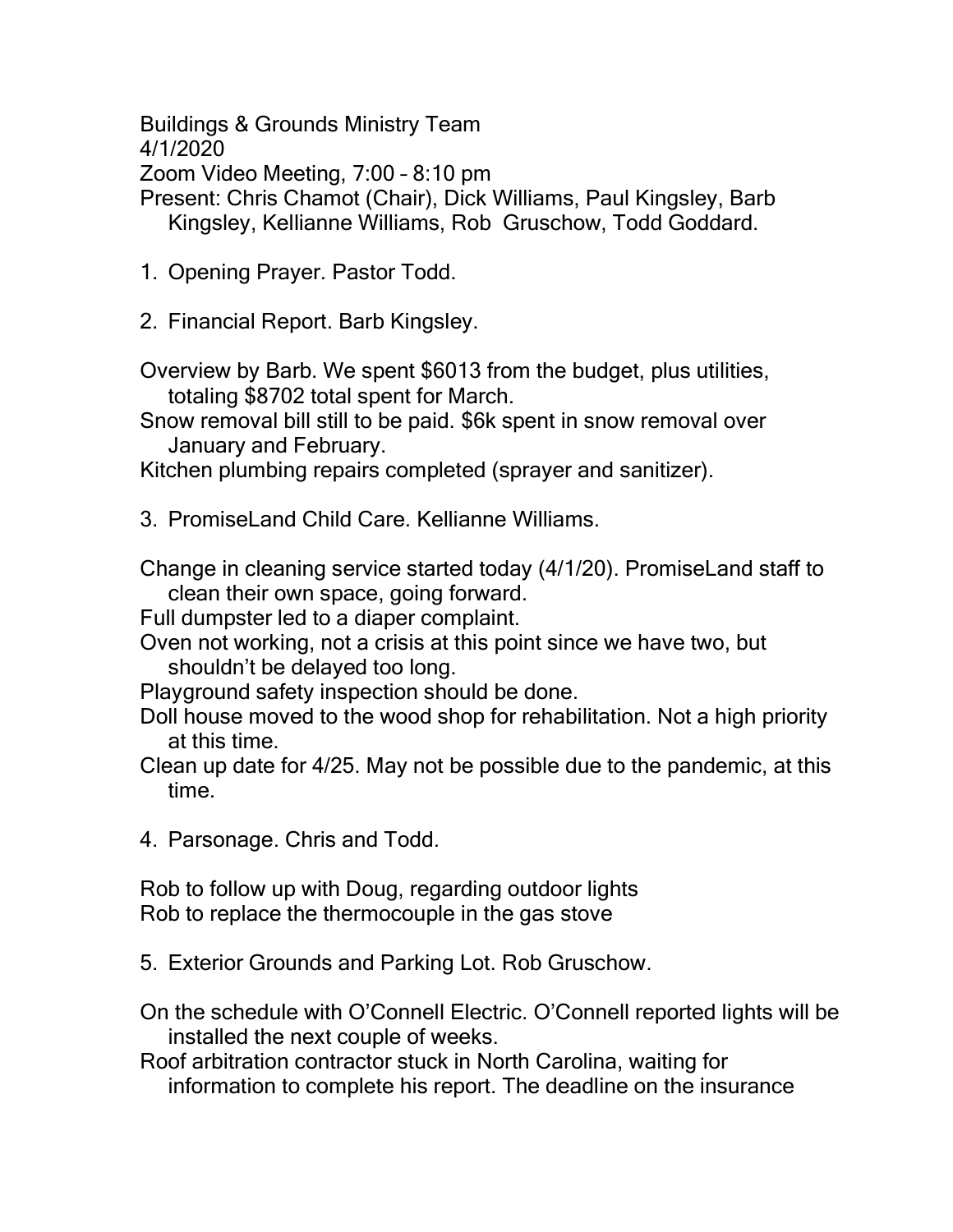Buildings & Grounds Ministry Team

4/1/2020

Zoom Video Meeting, 7:00 – 8:10 pm

Present: Chris Chamot (Chair), Dick Williams, Paul Kingsley, Barb Kingsley, Kellianne Williams, Rob Gruschow, Todd Goddard.

1. Opening Prayer. Pastor Todd.

2. Financial Report. Barb Kingsley.

Overview by Barb. We spent \$6013 from the budget, plus utilities, totaling \$8702 total spent for March.

Snow removal bill still to be paid. \$6k spent in snow removal over January and February.

Kitchen plumbing repairs completed (sprayer and sanitizer).

3. PromiseLand Child Care. Kellianne Williams.

Change in cleaning service started today (4/1/20). PromiseLand staff to clean their own space, going forward.

Full dumpster led to a diaper complaint.

Oven not working, not a crisis at this point since we have two, but shouldn't be delayed too long.

Playground safety inspection should be done.

Doll house moved to the wood shop for rehabilitation. Not a high priority at this time.

Clean up date for 4/25. May not be possible due to the pandemic, at this time.

4. Parsonage. Chris and Todd.

Rob to follow up with Doug, regarding outdoor lights Rob to replace the thermocouple in the gas stove

5. Exterior Grounds and Parking Lot. Rob Gruschow.

On the schedule with O'Connell Electric. O'Connell reported lights will be installed the next couple of weeks.

Roof arbitration contractor stuck in North Carolina, waiting for information to complete his report. The deadline on the insurance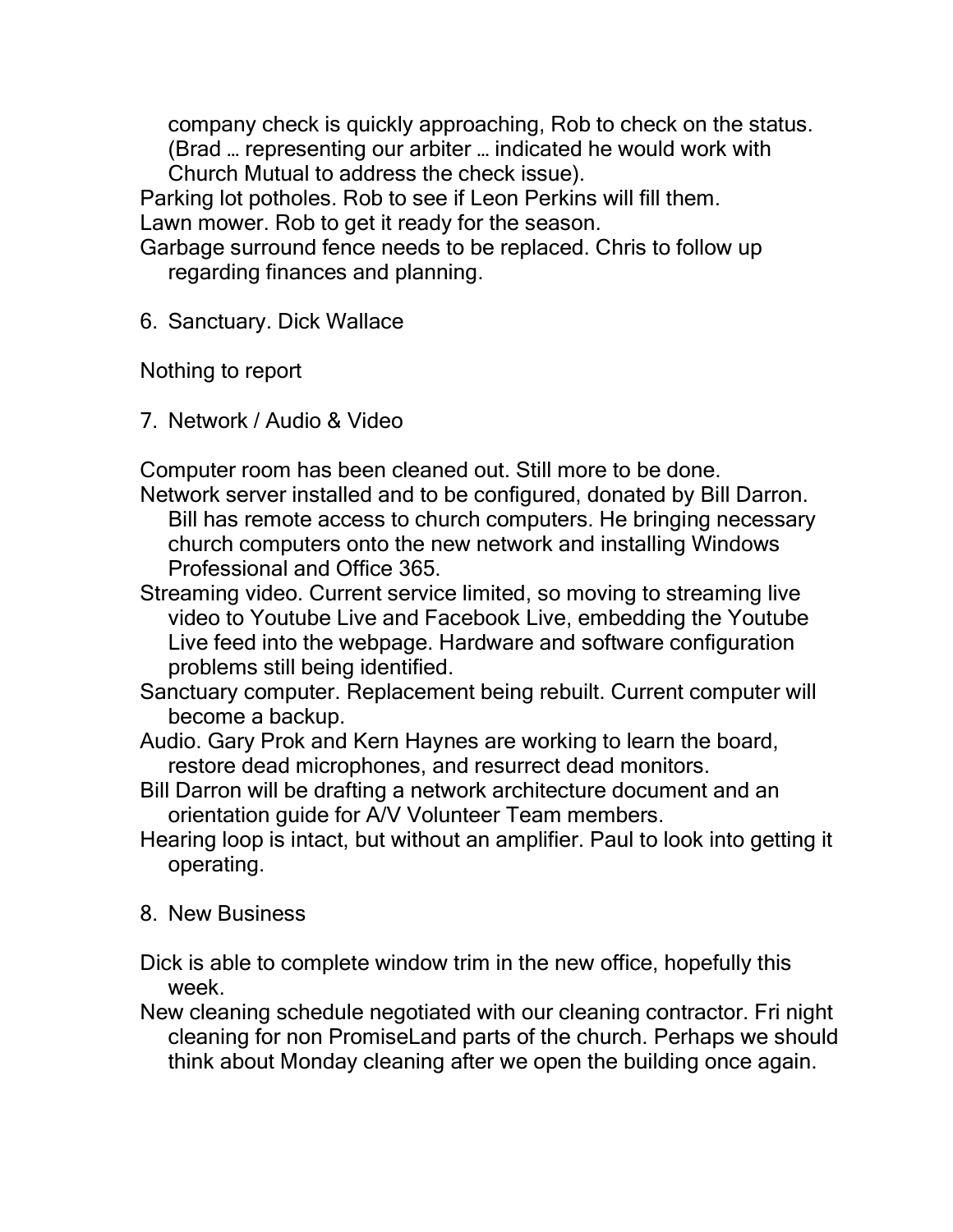company check is quickly approaching, Rob to check on the status. (Brad … representing our arbiter … indicated he would work with

Church Mutual to address the check issue).

Parking lot potholes. Rob to see if Leon Perkins will fill them. Lawn mower. Rob to get it ready for the season.

Garbage surround fence needs to be replaced. Chris to follow up regarding finances and planning.

6. Sanctuary. Dick Wallace

Nothing to report

7. Network / Audio & Video

Computer room has been cleaned out. Still more to be done.

- Network server installed and to be configured, donated by Bill Darron. Bill has remote access to church computers. He bringing necessary church computers onto the new network and installing Windows Professional and Office 365.
- Streaming video. Current service limited, so moving to streaming live video to Youtube Live and Facebook Live, embedding the Youtube Live feed into the webpage. Hardware and software configuration problems still being identified.
- Sanctuary computer. Replacement being rebuilt. Current computer will become a backup.
- Audio. Gary Prok and Kern Haynes are working to learn the board, restore dead microphones, and resurrect dead monitors.
- Bill Darron will be drafting a network architecture document and an orientation guide for A/V Volunteer Team members.
- Hearing loop is intact, but without an amplifier. Paul to look into getting it operating.
- 8. New Business
- Dick is able to complete window trim in the new office, hopefully this week.
- New cleaning schedule negotiated with our cleaning contractor. Fri night cleaning for non PromiseLand parts of the church. Perhaps we should think about Monday cleaning after we open the building once again.